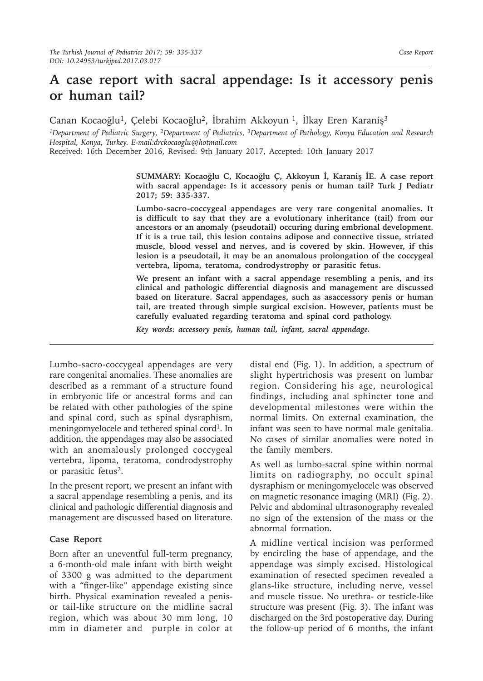# **A case report with sacral appendage: Is it accessory penis or human tail?**

Canan Kocaoğlu<sup>1</sup>, Çelebi Kocaoğlu<sup>2</sup>, İbrahim Akkoyun<sup>1</sup>, İlkay Eren Karaniş<sup>3</sup>

*1Department of Pediatric Surgery, 2Department of Pediatrics, 3Department of Pathology, Konya Education and Research Hospital, Konya, Turkey. E-mail:drckocaoglu@hotmail.com*

Received: 16th December 2016, Revised: 9th January 2017, Accepted: 10th January 2017

**SUMMARY: Kocaoğlu C, Kocaoğlu Ç, Akkoyun İ, Karaniş İE. A case report with sacral appendage: Is it accessory penis or human tail? Turk J Pediatr 2017; 59: 335-337.**

**Lumbo-sacro-coccygeal appendages are very rare congenital anomalies. It is difficult to say that they are a evolutionary inheritance (tail) from our ancestors or an anomaly (pseudotail) occuring during embrional development. If it is a true tail, this lesion contains adipose and connective tissue, striated muscle, blood vessel and nerves, and is covered by skin. However, if this lesion is a pseudotail, it may be an anomalous prolongation of the coccygeal vertebra, lipoma, teratoma, condrodystrophy or parasitic fetus.**

**We present an infant with a sacral appendage resembling a penis, and its clinical and pathologic differential diagnosis and management are discussed based on literature. Sacral appendages, such as asaccessory penis or human tail, are treated through simple surgical excision. However, patients must be carefully evaluated regarding teratoma and spinal cord pathology.**

*Key words: accessory penis, human tail, infant, sacral appendage.*

Lumbo-sacro-coccygeal appendages are very rare congenital anomalies. These anomalies are described as a remmant of a structure found in embryonic life or ancestral forms and can be related with other pathologies of the spine and spinal cord, such as spinal dysraphism, meningomyelocele and tethered spinal cord<sup>1</sup>. In addition, the appendages may also be associated with an anomalously prolonged coccygeal vertebra, lipoma, teratoma, condrodystrophy or parasitic fetus2.

In the present report, we present an infant with a sacral appendage resembling a penis, and its clinical and pathologic differential diagnosis and management are discussed based on literature.

## **Case Report**

Born after an uneventful full-term pregnancy, a 6-month-old male infant with birth weight of 3300 g was admitted to the department with a "finger-like" appendage existing since birth. Physical examination revealed a penisor tail-like structure on the midline sacral region, which was about 30 mm long, 10 mm in diameter and purple in color at distal end (Fig. 1). In addition, a spectrum of slight hypertrichosis was present on lumbar region. Considering his age, neurological findings, including anal sphincter tone and developmental milestones were within the normal limits. On external examination, the infant was seen to have normal male genitalia. No cases of similar anomalies were noted in the family members.

As well as lumbo-sacral spine within normal limits on radiography, no occult spinal dysraphism or meningomyelocele was observed on magnetic resonance imaging (MRI) (Fig. 2). Pelvic and abdominal ultrasonography revealed no sign of the extension of the mass or the abnormal formation.

A midline vertical incision was performed by encircling the base of appendage, and the appendage was simply excised. Histological examination of resected specimen revealed a glans-like structure, including nerve, vessel and muscle tissue. No urethra- or testicle-like structure was present (Fig. 3). The infant was discharged on the 3rd postoperative day. During the follow-up period of 6 months, the infant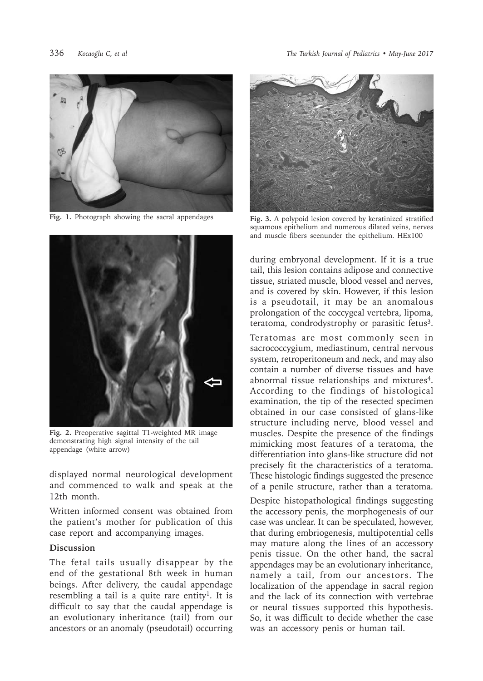

**Fig. 1.** Photograph showing the sacral appendages



**Fig. 2.** Preoperative sagittal T1-weighted MR image demonstrating high signal intensity of the tail appendage (white arrow)

displayed normal neurological development and commenced to walk and speak at the 12th month.

Written informed consent was obtained from the patient's mother for publication of this case report and accompanying images.

## **Discussion**

The fetal tails usually disappear by the end of the gestational 8th week in human beings. After delivery, the caudal appendage resembling a tail is a quite rare entity<sup>1</sup>. It is difficult to say that the caudal appendage is an evolutionary inheritance (tail) from our ancestors or an anomaly (pseudotail) occurring



**Fig. 3.** A polypoid lesion covered by keratinized stratified squamous epithelium and numerous dilated veins, nerves and muscle fibers seenunder the epithelium. HEx100

during embryonal development. If it is a true tail, this lesion contains adipose and connective tissue, striated muscle, blood vessel and nerves, and is covered by skin. However, if this lesion is a pseudotail, it may be an anomalous prolongation of the coccygeal vertebra, lipoma, teratoma, condrodystrophy or parasitic fetus<sup>3</sup>.

Teratomas are most commonly seen in sacrococcygium, mediastinum, central nervous system, retroperitoneum and neck, and may also contain a number of diverse tissues and have abnormal tissue relationships and mixtures<sup>4</sup>. According to the findings of histological examination, the tip of the resected specimen obtained in our case consisted of glans-like structure including nerve, blood vessel and muscles. Despite the presence of the findings mimicking most features of a teratoma, the differentiation into glans-like structure did not precisely fit the characteristics of a teratoma. These histologic findings suggested the presence of a penile structure, rather than a teratoma.

Despite histopathological findings suggesting the accessory penis, the morphogenesis of our case was unclear. It can be speculated, however, that during embriogenesis, multipotential cells may mature along the lines of an accessory penis tissue. On the other hand, the sacral appendages may be an evolutionary inheritance, namely a tail, from our ancestors. The localization of the appendage in sacral region and the lack of its connection with vertebrae or neural tissues supported this hypothesis. So, it was difficult to decide whether the case was an accessory penis or human tail.